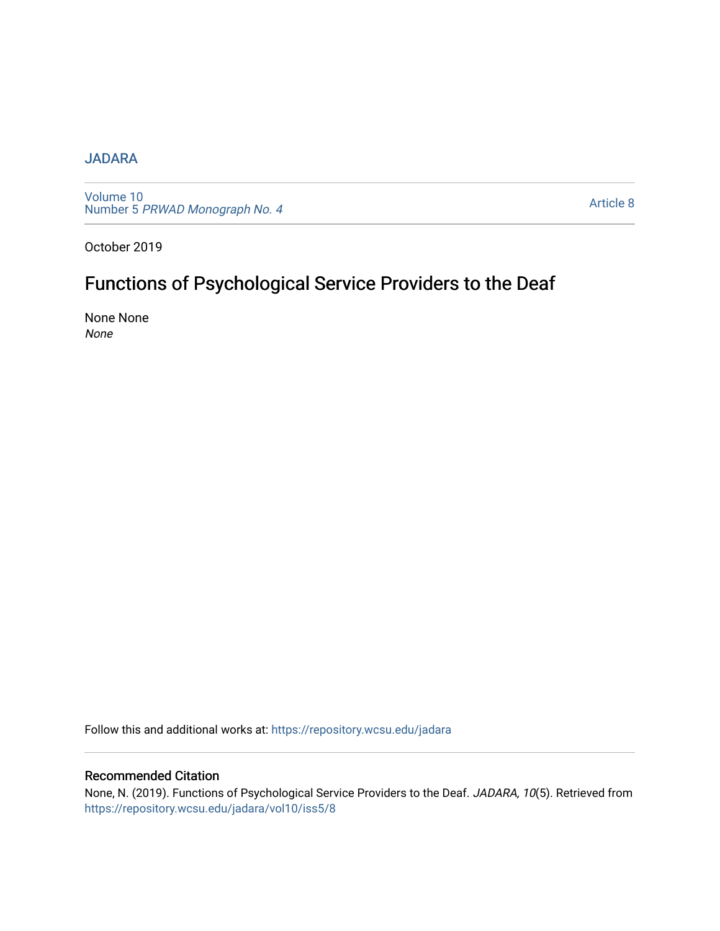## [JADARA](https://repository.wcsu.edu/jadara)

[Volume 10](https://repository.wcsu.edu/jadara/vol10)  Number 5 [PRWAD Monograph No. 4](https://repository.wcsu.edu/jadara/vol10/iss5) 

[Article 8](https://repository.wcsu.edu/jadara/vol10/iss5/8) 

October 2019

# Functions of Psychological Service Providers to the Deaf

None None None

Follow this and additional works at: [https://repository.wcsu.edu/jadara](https://repository.wcsu.edu/jadara?utm_source=repository.wcsu.edu%2Fjadara%2Fvol10%2Fiss5%2F8&utm_medium=PDF&utm_campaign=PDFCoverPages)

### Recommended Citation

None, N. (2019). Functions of Psychological Service Providers to the Deaf. JADARA, 10(5). Retrieved from [https://repository.wcsu.edu/jadara/vol10/iss5/8](https://repository.wcsu.edu/jadara/vol10/iss5/8?utm_source=repository.wcsu.edu%2Fjadara%2Fvol10%2Fiss5%2F8&utm_medium=PDF&utm_campaign=PDFCoverPages)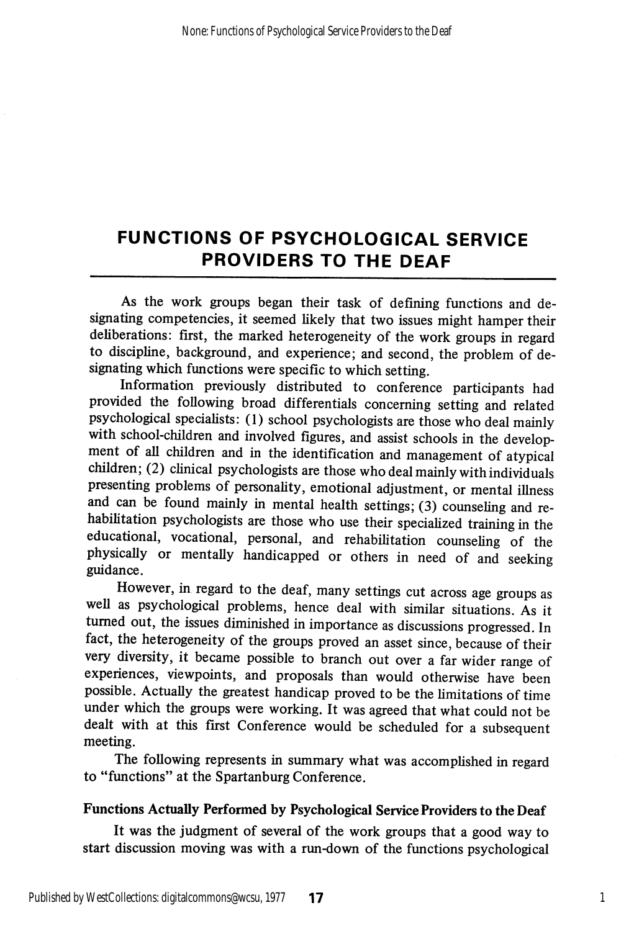As the work groups began their task of defining functions and de signating competencies, it seemed likely that two issues might hamper their deliberations: first, the marked heterogeneity of the work groups in regard to discipline, background, and experience; and second, the problem of de signating which functions were specific to which setting.

Information previously distributed to conference participants had provided the following broad differentials concerning setting and related psychological specialists: (1) school psychologists are those who deal mainly with school-children and involved figures, and assist schools in the develop ment of all children and in the identification and management of atypical children; (2) clinical psychologists are those who deal mainly with individuals presenting problems of personality, emotional adjustment, or mental illness and can be found mainly in mental health settings; (3) counseling and re habilitation psychologists are those who use their specialized training in the educational, vocational, personal, and rehabilitation counseling of the physically or mentally handicapped or others in need of and seeking guidance.

However, in regard to the deaf, many settings cut across age groups as well as psychological problems, hence deal with similar situations. As it turned out, the issues diminished in importance as discussions progressed. In fact, the heterogeneity of the groups proved an asset since, because of their very diversity, it became possible to branch out over a far wider range of experiences, viewpoints, and proposals than would otherwise have been possible. Actually the greatest handicap proved to be the limitations of time under which the groups were working. It was agreed that what could not be dealt with at this first Conference would be scheduled for a subsequent meeting.

The following represents in summary what was accomplished in regard to "functions" at the Spartanburg Conference.

#### Functions Actually Performed by Psychological Service Providers to the Deaf

It was the judgment of several of the work groups that a good way to start discussion moving was with a run-down of the functions psychological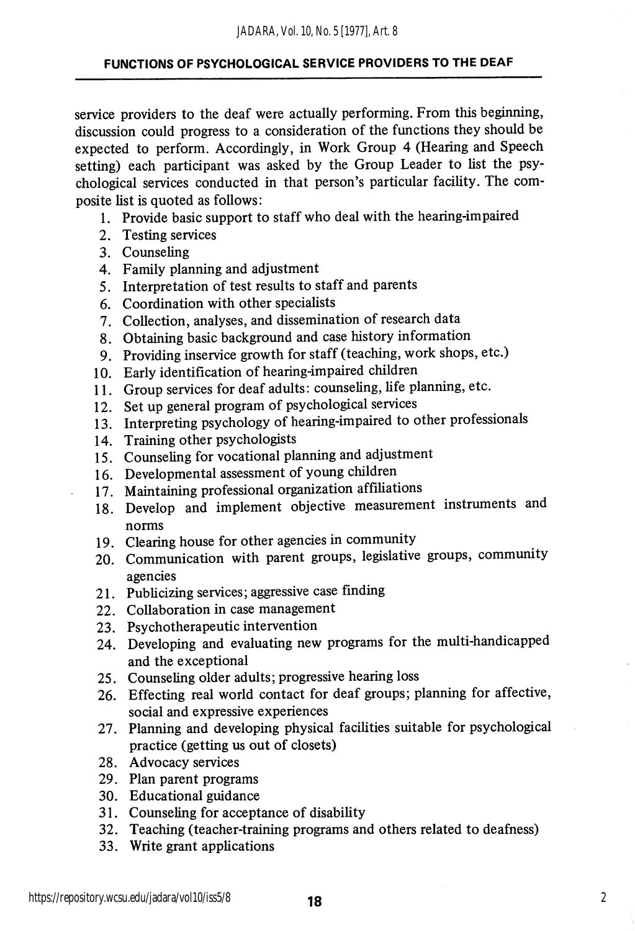service providers to the deaf were actually performing. From this beginning, discussion could progress to a consideration of the functions they should be expected to perform. Accordingly, in Work Group 4 (Hearing and Speech setting) each participant was asked by the Group Leader to list the psy chological services conducted in that person's particular facility. The com posite list is quoted as follows:

- 1. Provide basic support to staff who deal with the hearing-impaired
- 2. Testing services
- 3. Counseling
- 4. Family planning and adjustment
- 5. Interpretation of test results to staff and parents
- 6. Coordination with other specialists
- 7. Collection, analyses, and dissemination of research data
- 8. Obtaining basic background and case history information
- 9. Providing inservice growth for staff (teaching, work shops, etc.)
- 10. Early identification of hearing-impaired children
- 11. Group services for deaf adults: counseling, life planning, etc.
- 12. Set up general program of psychological services
- 13. Interpreting psychology of hearing-impaired to other professionals
- 14. Training other psychologists
- 15. Counseling for vocational planning and adjustment
- 16. Developmental assessment of young children
- 17. Maintaining professional organization affiliations
- 18. Develop and implement objective measurement instruments and norms
- 19. Clearing house for other agencies in community
- 20. Communication with parent groups, legislative groups, community agencies
- 21. Publicizing services; aggressive case finding
- 22. Collaboration in case management
- 23. Psychotherapeutic intervention
- 24. Developing and evaluating new programs for the multi-handicapped and the exceptional
- 25. Counseling older adults; progressive hearing loss
- 26. Effecting real world contact for deaf groups; planning for affective, social and expressive experiences
- 27. Planning and developing physical facilities suitable for psychological practice (getting us out of closets)
- 28. Advocacy services
- 29. Plan parent programs
- 30. Educational guidance
- 31. Counseling for acceptance of disability
- 32. Teaching (teacher-training programs and others related to deafness)
- 33. Write grant applications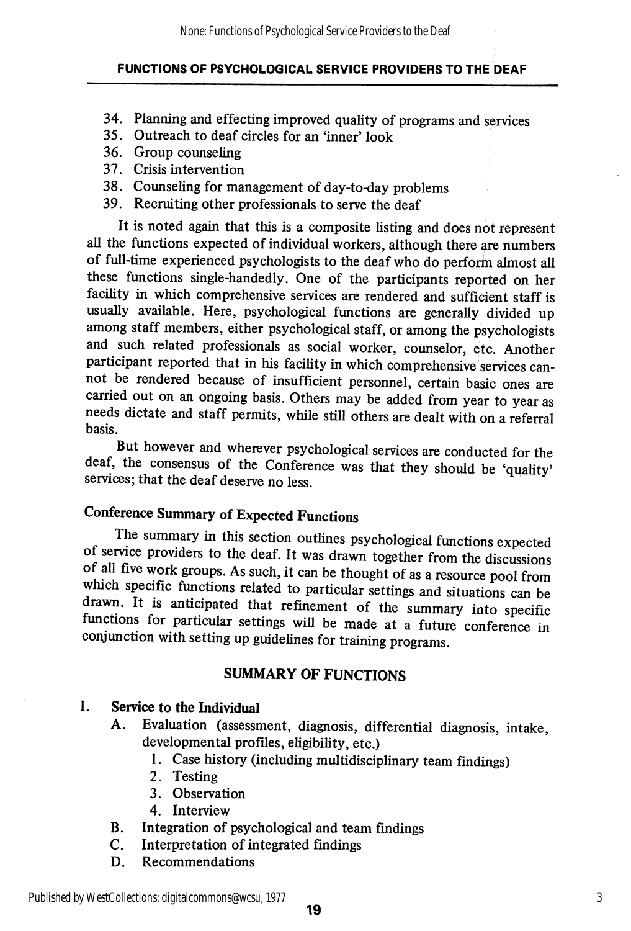- 34. Planning and effecting improved quality of programs and services
- 35. Outreach to deaf circles for an'inner'look
- 36. Group counseling
- 37. Crisis intervention
- 38. Counseling for management of day-to-day problems
- 39. Recruiting other professionals to serve the deaf

It is noted again that this is a composite listing and does not represent all the functions expected of individual workers, although there are numbers of full-time experienced psychologists to the deaf who do perform almost all these functions single-handedly. One of the participants reported on her facility in which comprehensive services are rendered and sufficient staff is usually available. Here, psychological functions are generally divided up among staff members, either psychological staff, or among the psychologists and such related professionals as social worker, counselor, etc. Another participant reported that in his facility in which comprehensive services cannot be rendered because of insufficient personnel, certain basic ones are carried out on an ongoing basis. Others may be added from year to year as needs dictate and staff permits, while still others are dealt with on a referral basis.

But however and wherever psychological services are conducted for the deaf, the consensus of the Conference was that they should be 'quality' services; that the deaf deserve no less.

## Conference Summary of Expected Functions

The summary in this section outlines psychological fimctions expected of service providers to the deaf. It was drawn together from the discussions of all five work groups. As such, it can be thought of as a resource pool from which specific functions related to particular settings and situations can be drawn. It is anticipated that refinement of the summary into specific functions for particular settings will be made at a future conference in conjunction with setting up guidelines for training programs.

## SUMMARY OF FUNCTIONS

## I. Service to the Individual

- A. Evaluation (assessment, diagnosis, differential diagnosis, intake, developmental profiles, eligibility, etc.)
	- 1. Case history (including multidisciplinary team findings)
	- 2. Testing
	- 3. Observation
	- 4. Interview
- B. Integration of psychological and team findings
- C. Interpretation of integrated findings
- D. Recommendations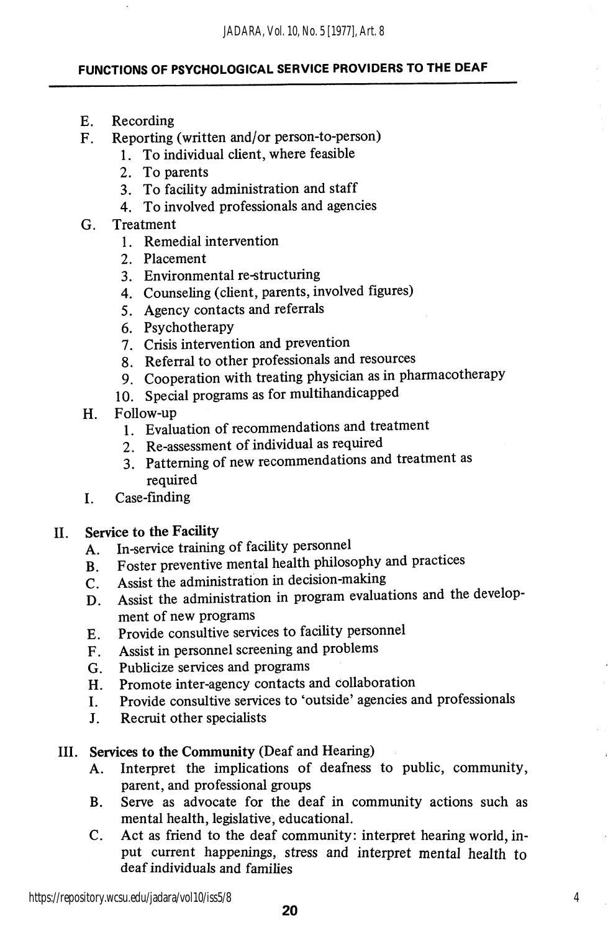- E. Recording
- F. Reporting (written and/or person-to-person)
	- 1. To individual client, where feasible
	- 2. To parents
	- 3. To facility administration and staff
	- 4. To involved professionals and agencies
- G. Treatment
	- 1. Remedial intervention
	- 2. Placement
	- 3. Environmental re-structuring
	- 4. Counseling (client, parents, involved figures)
	- 5. Agency contacts and referrals
	- 6. Psychotherapy
	- 7. Crisis intervention and prevention
	- 8. Referral to other professionals and resources
	- 9. Cooperation with treating physician as in pharmacotherapy
	- 10. Special programs as for multihandicapped
- H. Follow-up
	- 1. Evaluation of recommendations and treatment
	- 2. Re-assessment of individual as required
	- 3. Patterning of new recommendations and treatment as required
- I. Case-finding

#### II. Service to the Facility

- A. In-service training of facility personnel
- B. Foster preventive mental health philosophy and practices
- C. Assist the administration in decision-making
- D. Assist the administration in program evaluations and the develop ment of new programs
- E. Provide consultive services to facihty personnel
- F. Assist in personnel screening and problems
- G. Publicize services and programs
- H. Promote inter-agency contacts and collaboration
- I. Provide consultive services to 'outside' agencies and professionals
- J. Recruit other specialists

#### III. Services to the Community (Deaf and Hearing)

- A. Interpret the implications of deafness to public, community, parent, and professional groups
- B. Serve as advocate for the deaf in community actions such as mental health, legislative, educational.
- C. Act as friend to the deaf community: interpret hearing world, in put current happenings, stress and interpret mental health to deaf individuals and families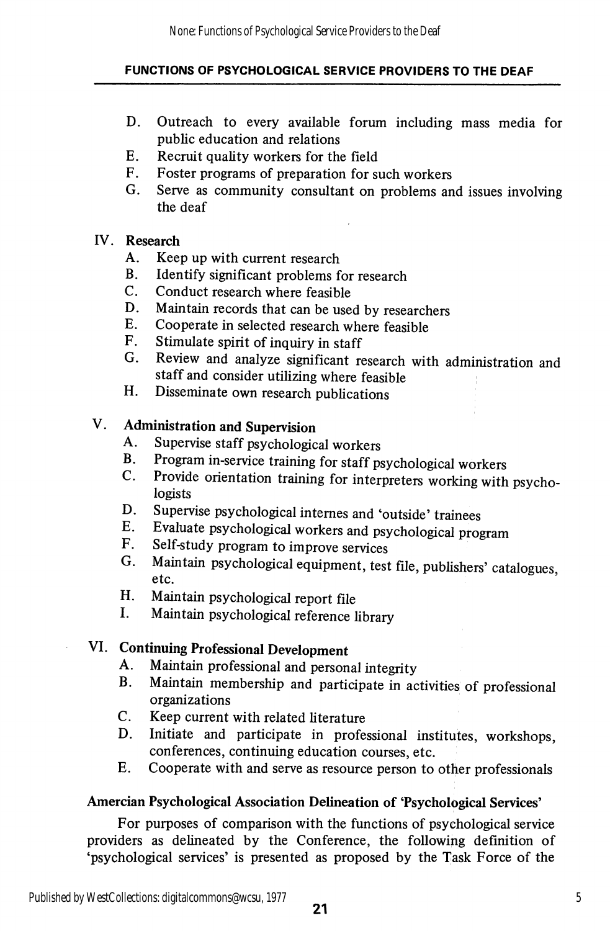- D. Outreach to every available forum including mass media for public education and relations
- E. Recruit quality workers for the field
- F. Foster programs of preparation for such workers
- G. Serve as community consultant on problems and issues involving the deaf

### IV. Research

- A. Keep up with current research
- B. Identify significant problems for research
- C. Conduct research where feasible
- D. Maintain records that can be used by researchers
- E. Cooperate in selected research where feasible
- F. Stimulate spirit of inquiry in staff
- G. Review and analyze significant research with administration and staff and consider utilizing where feasible
- H. Disseminate own research publications

## V. Administration and Supervision

- A. Supervise staff psychological workers
- Program in-service training for staff psychological workers  $\mathbf{B}$ .
- C. Provide orientation training for interpreters working with psychologists
- D. Supervise psychological internes and 'outside' trainees
- E. Evaluate psychological workers and psychological program
- F. Self-study program to improve services
- G. Maintain psychological equipment, test file, publishers' catalogues, etc.
- H. Maintain psychological report file
- I. Maintain psychological reference library

## VI. Continuing Professional Development

- A. Maintain professional and personal integrity
- B. Maintain membership and participate in activities of professional organizations
- C. Keep current with related literature
- D. Initiate and participate in professional institutes, workshops, conferences, continuing education courses, etc.
- E. Cooperate with and serve as resource person to other professionals

## Amercian Psychological Association Delineation of 'Psychological Services'

For purposes of comparison with the functions of psychological service providers as delineated by the Conference, the following definition of 'psychological services' is presented as proposed by the Task Force of the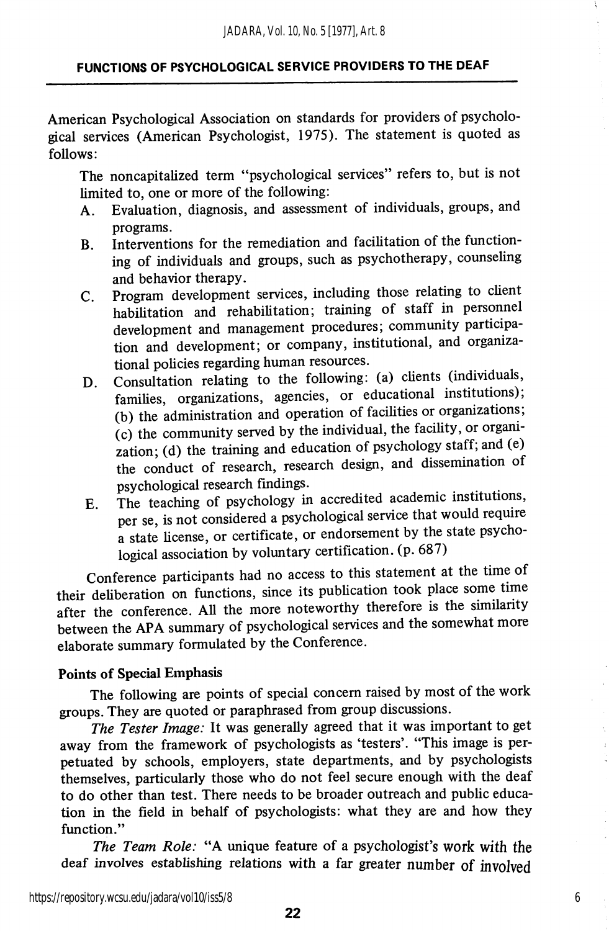American Psychological Association on standards for providers of psycholo gical services (American Psychologist, 1975). The statement is quoted as follows:

The noncapitalized term "psychological services" refers to, but is not limited to, one or more of the following:

- A. Evaluation, diagnosis, and assessment of individuals, groups, and programs.
- B. Interventions for the remediation and facilitation of the functioning of individuals and groups, such as psychotherapy, counseling and behavior therapy.
- C. Program development services, including those relating to client habihtation and rehabilitation; training of staff in personnel development and management procedures; community participa tion and development; or company, institutional, and organiza tional policies regarding human resources.
- D. Consultation relating to the following: (a) clients (individuals, families, organizations, agencies, or educational institutions); (b) the administration and operation of facihties or organizations;  $(c)$  the community served by the individual, the facility, or organization; (d) the training and education of psychology staff; and (e) the conduct of research, research design, and dissemination of psychological research findings.
- E. The teaching of psychology in accredited academic institutions, per se, is not considered a psychological service that would require a state license, or certificate, or endorsement by the state psychological association by voluntary certification, (p. 687)

Conference participants had no access to this statement at the time of their deliberation on functions, since its publication took place some time after the conference. All the more noteworthy therefore is the similarity between the APA summary of psychological services and the somewhat more elaborate summary formulated by the Conference.

#### Points of Special Emphasis

The following are points of special concern raised by most of the work groups. They are quoted or paraphrased from group discussions.

The Tester Image: It was generally agreed that it was important to get away from the framework of psychologists as 'testers'. "This image is per petuated by schools, employers, state departments, and by psychologists themselves, particularly those who do not feel secure enough with the deaf to do other than test. There needs to be broader outreach and public education in the field in behalf of psychologists: what they are and how they function."

The Team Role: "A unique feature of a psychologist's work with the deaf involves establishing relations with a far greater number of involved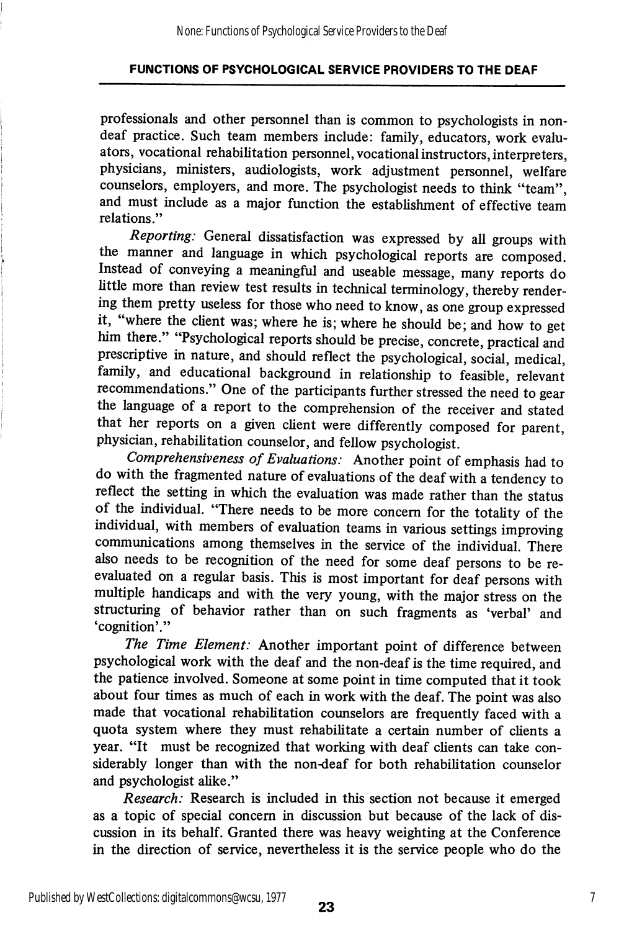professionals and other personnel than is common to psychologists in nondeaf practice. Such team members include: family, educators, work evaluators, vocational rehabilitation personnel, vocational instructors, interpreters, physicians, ministers, audiologists, work adjustment personnel, welfare counselors, employers, and more. The psychologist needs to think "team", and must include as a major function the establishment of effective team relations."

Reporting: General dissatisfaction was expressed by all groups with the manner and language in which psychological reports are composed. Instead of conveying a meaningful and useable message, many reports do little more than review test results in technical terminology, thereby render ing them pretty useless for those who need to know, as one group expressed it, where the client was; where he is; where he should be; and how to get him there." "Psychological reports should be precise, concrete, practical and prescriptive in nature, and should reflect the psychological, social, medical, family, and educational background in relationship to feasible, relevant recommendations." One of the participants further stressed the need to gear the language of a report to the comprehension of the receiver and stated that her reports on a given client were differently composed for parent, physician, rehabilitation counselor, and fellow psychologist.

Comprehensiveness of Evaluations: Another point of emphasis had to do with the fragmented nature of evaluations of the deaf with a tendency to reflect the setting in which the evaluation was made rather than the status of the individual. "There needs to be more concern for the totality of the individual, with members of evaluation teams in various settings improving communications among themselves in the service of the individual. There also needs to be recogmtion of the need for some deaf persons to be reevaluated on a regular basis. This is most important for deaf persons with multiple handicaps and with the very young, with the major stress on the structuring of behavior rather than on such fragments as 'verbal' and 'cognition'."

The Time Element: Another important point of difference between psychological work with the deaf and the non-deaf is the time required, and the patience involved. Someone at some point in time computed that it took about four times as much of each in work with the deaf. The point was also made that vocational rehabilitation counselors are frequently faced with a quota system where they must rehabilitate a certain number of clients a year. "It must be recognized that working with deaf clients can take con siderably longer than with the non-deaf for both rehabilitation counselor and psychologist alike."

Research: Research is included in this section not because it emerged as a topic of special concern in discussion but because of the lack of dis cussion in its behalf. Granted there was heavy weighting at the Conference in the direction of service, nevertheless it is the service people who do the